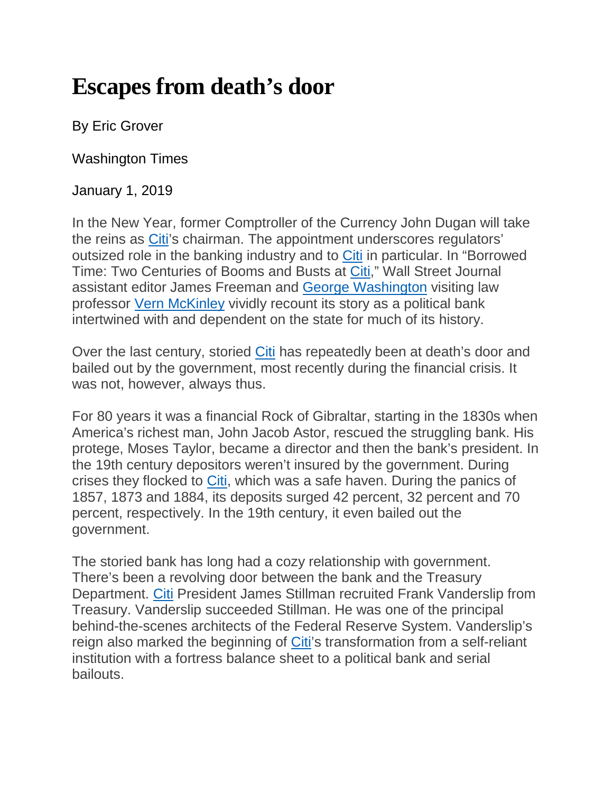## **Escapes from death's door**

By Eric Grover

Washington Times

January 1, 2019

In the New Year, former Comptroller of the Currency John Dugan will take the reins as [Citi'](https://www.washingtontimes.com/topics/citi/)s chairman. The appointment underscores regulators' outsized role in the banking industry and to [Citi](https://www.washingtontimes.com/topics/citi/) in particular. In "Borrowed Time: Two Centuries of Booms and Busts at [Citi,](https://www.washingtontimes.com/topics/citi/)" Wall Street Journal assistant editor James Freeman and [George Washington](https://www.washingtontimes.com/topics/george-washington/) visiting law professor [Vern McKinley](https://www.washingtontimes.com/topics/vern-mckinley/) vividly recount its story as a political bank intertwined with and dependent on the state for much of its history.

Over the last century, storied [Citi](https://www.washingtontimes.com/topics/citi/) has repeatedly been at death's door and bailed out by the government, most recently during the financial crisis. It was not, however, always thus.

For 80 years it was a financial Rock of Gibraltar, starting in the 1830s when America's richest man, John Jacob Astor, rescued the struggling bank. His protege, Moses Taylor, became a director and then the bank's president. In the 19th century depositors weren't insured by the government. During crises they flocked to [Citi,](https://www.washingtontimes.com/topics/citi/) which was a safe haven. During the panics of 1857, 1873 and 1884, its deposits surged 42 percent, 32 percent and 70 percent, respectively. In the 19th century, it even bailed out the government.

The storied bank has long had a cozy relationship with government. There's been a revolving door between the bank and the Treasury Department. [Citi](https://www.washingtontimes.com/topics/citi/) President James Stillman recruited Frank Vanderslip from Treasury. Vanderslip succeeded Stillman. He was one of the principal behind-the-scenes architects of the Federal Reserve System. Vanderslip's reign also marked the beginning of [Citi'](https://www.washingtontimes.com/topics/citi/)s transformation from a self-reliant institution with a fortress balance sheet to a political bank and serial bailouts.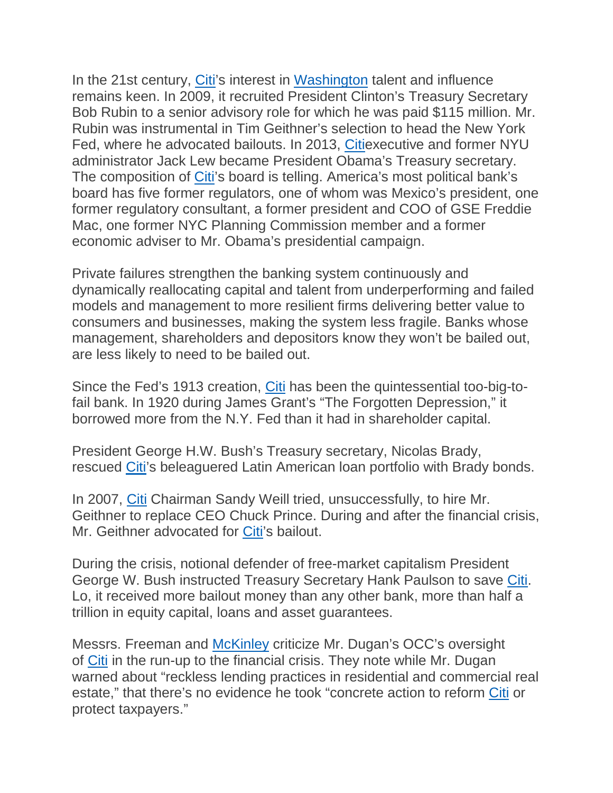In the 21st century, [Citi'](https://www.washingtontimes.com/topics/citi/)s interest in [Washington](https://www.washingtontimes.com/topics/george-washington/) talent and influence remains keen. In 2009, it recruited President Clinton's Treasury Secretary Bob Rubin to a senior advisory role for which he was paid \$115 million. Mr. Rubin was instrumental in Tim Geithner's selection to head the New York Fed, where he advocated bailouts. In 2013, [Citie](https://www.washingtontimes.com/topics/citi/)xecutive and former NYU administrator Jack Lew became President Obama's Treasury secretary. The composition of [Citi'](https://www.washingtontimes.com/topics/citi/)s board is telling. America's most political bank's board has five former regulators, one of whom was Mexico's president, one former regulatory consultant, a former president and COO of GSE Freddie Mac, one former NYC Planning Commission member and a former economic adviser to Mr. Obama's presidential campaign.

Private failures strengthen the banking system continuously and dynamically reallocating capital and talent from underperforming and failed models and management to more resilient firms delivering better value to consumers and businesses, making the system less fragile. Banks whose management, shareholders and depositors know they won't be bailed out, are less likely to need to be bailed out.

Since the Fed's 1913 creation, [Citi](https://www.washingtontimes.com/topics/citi/) has been the quintessential too-big-tofail bank. In 1920 during James Grant's "The Forgotten Depression," it borrowed more from the N.Y. Fed than it had in shareholder capital.

President George H.W. Bush's Treasury secretary, Nicolas Brady, rescued [Citi'](https://www.washingtontimes.com/topics/citi/)s beleaguered Latin American loan portfolio with Brady bonds.

In 2007, [Citi](https://www.washingtontimes.com/topics/citi/) Chairman Sandy Weill tried, unsuccessfully, to hire Mr. Geithner to replace CEO Chuck Prince. During and after the financial crisis, Mr. Geithner advocated for [Citi'](https://www.washingtontimes.com/topics/citi/)s bailout.

During the crisis, notional defender of free-market capitalism President George W. Bush instructed Treasury Secretary Hank Paulson to save [Citi.](https://www.washingtontimes.com/topics/citi/) Lo, it received more bailout money than any other bank, more than half a trillion in equity capital, loans and asset guarantees.

Messrs. Freeman and [McKinley](https://www.washingtontimes.com/topics/vern-mckinley/) criticize Mr. Dugan's OCC's oversight of [Citi](https://www.washingtontimes.com/topics/citi/) in the run-up to the financial crisis. They note while Mr. Dugan warned about "reckless lending practices in residential and commercial real estate," that there's no evidence he took "concrete action to reform [Citi](https://www.washingtontimes.com/topics/citi/) or protect taxpayers."